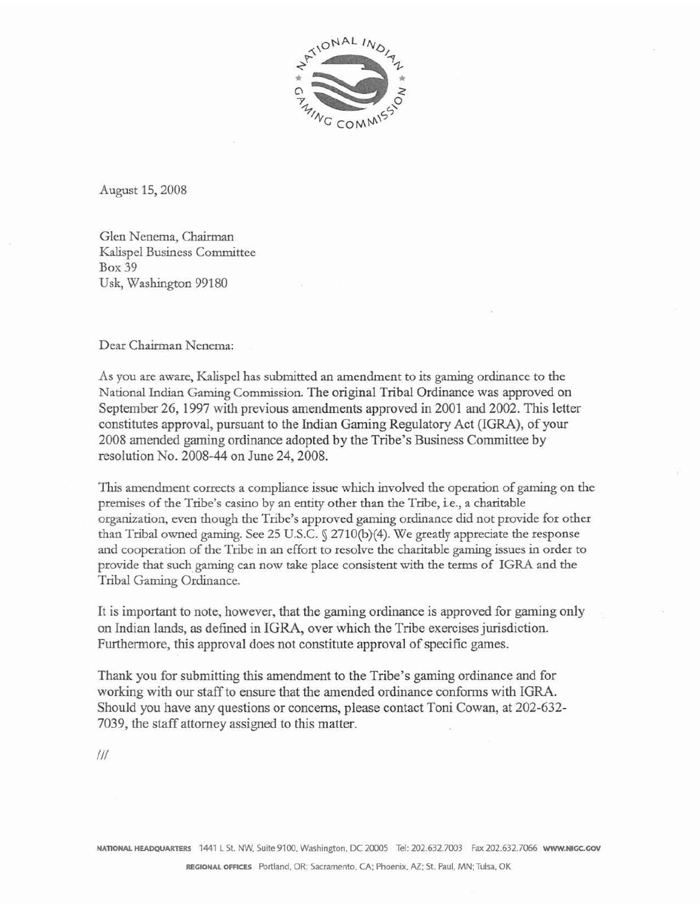

August 15,2008

Glen Nenema, Chairman Kalispel Business Committee Box 39 **Usk, Washington 99180** 

Dear Chairman Nenema:

As you are aware, Kalispel has submitted an amendment to its gaming ordinance to the National Indian **Gaming** Commission. The **original** Tribal Ordinance **was approved** on **September** 26, 1997 with previous **amendments approved** in 2001 and 2002. This Ietter constitutes **approval,** pursuant **to** the Indian Gaming Regulatory **Act** (LGRA), **of** your 2008 amended **gaming** ordinance **adopted** by **the** Tribe's Business Committee **by**  resolution No. 2008-44 on June 24,2008.

This amendment corrects a compliance issue which involved the operation of gaming on the **premises** of **the** Tribe's casino by **an entity other than** the Tribe, **i-e., a** charirabk organization, even though the Tribe's approved gaming ordinance did not provide for other than Tribal owned gaming. See 25 U.S.C.  $\sqrt{2710(b)(4)}$ . We greatly appreciate the response and cooperation of the Trjbe in **an** effort **to resolve the** charitable **gaming** issues **in** order **to**  pro,vide **that such gaming** can **now take place** consistent with **the terms** of **IGRA and the**  Tribal Gaming Ordinance.

It is **important** to note, **however, that** the **gaming** ordinance **is approved for** gaming only on Indian lands, as **defined** in IGRA, over **which** the Tribe exercises jurisdiction. Furthermore, this **approval** does not constitute **approval** of specific games.

Thank **you** for submitting **this** amendment to the **Tribe's** gaming ordinance and for working **with** our staff **to** ensure that the amended ordinance conforms with **IGRA.**  Should you have any questions **or** concerns, pIease contact Toni **Cowan, at** 202-632- 7039, the staff attorney assigned **to this** matter.

 $III$ 

**NATIOHAL HEADQUARTERS 1441 L St. NW. Suite 97 CO. Washingtonn** DC 20m5 **Tel:** 202.632.7003 **fax** 202.632.7066 **WWW.NrGC.Gov**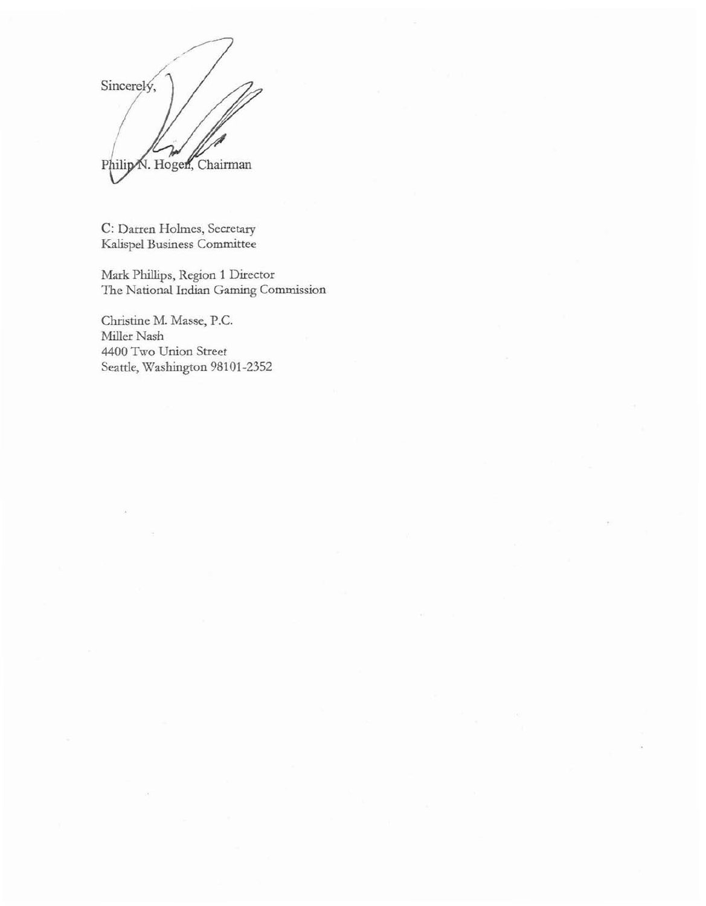$\mathcal{V}$ Philip N. Hogen, Chairman

**C:** Darren Holmes, **Secretary &lispel** Business Committee

Mark Phillips, Region 1 Director The National Indian Gaming Commission

Christine M. **Masse,** P.C. **Miller** Nash **4400 Two** Union **Street Seattle, Washington** 98101-2352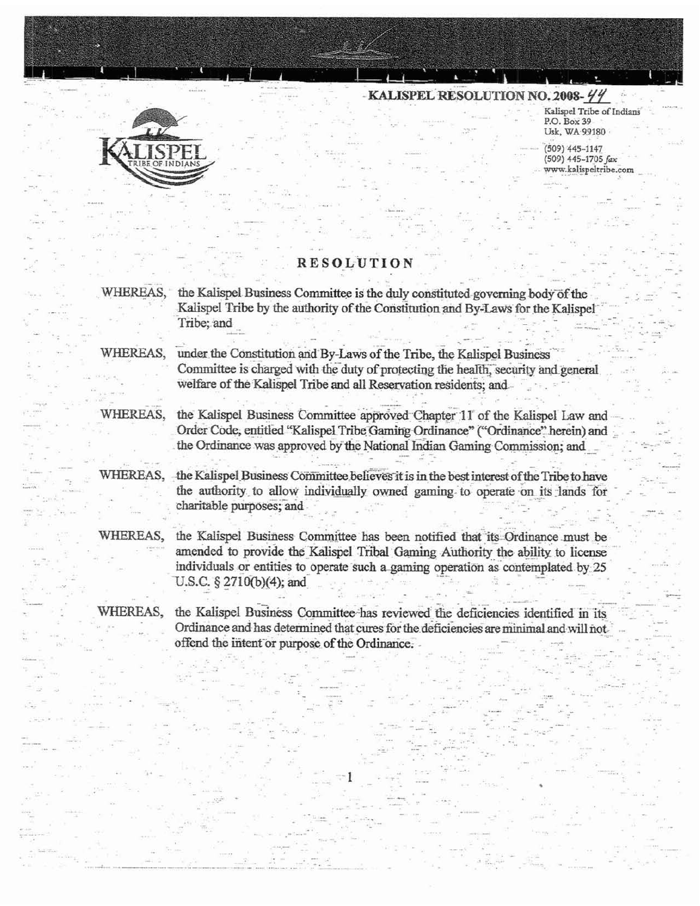

Kalispel Tribe of Indians P.O. Box 39 Usk, WA 99180

 $(509)$  445-1147 (509) 445-1705 fax www.kalispeltribe.com

# **RESOLUTION**

WHEREAS, the Kalispel Business Committee is the duly constituted governing body of the Kalispel Tribe by the authority of the Constitution and By-Laws for the Kalispel Tribe; and

WHEREAS, under the Constitution and By-Laws of the Tribe, the Kalispel Business Committee is charged with the duty of protecting the health, security and general welfare of the Kalispel Tribe and all Reservation residents; and

WHEREAS.

the Kalispel Business Committee approved Chapter 11 of the Kalispel Law and Order Code, entitled "Kalispel Tribe Gaming Ordinance" ("Ordinance" herein) and the Ordinance was approved by the National Indian Gaming Commission; and

WHEREAS,

the Kalispel Business Committee believes it is in the best interest of the Tribe to have the authority to allow individually owned gaming to operate on its lands for charitable purposes; and

WHEREAS, the Kalispel Business Committee has been notified that its Ordinance must be amended to provide the Kalispel Tribal Gaming Authority the ability to license individuals or entities to operate such a gaming operation as contemplated by 25 U.S.C. § 2710(b)(4); and

WHEREAS, the Kalispel Business Committee-has reviewed the deficiencies identified in its Ordinance and has determined that cures for the deficiencies are minimal and will not offend the intent or purpose of the Ordinance.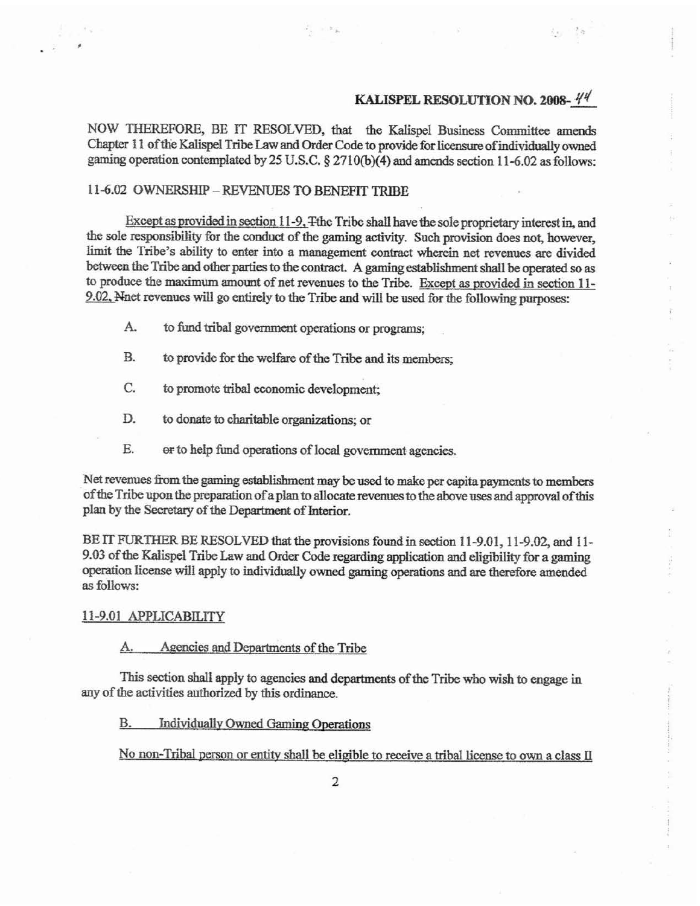NOW THEREFORE, BE IT RESOLVED, that the Kalispel Business Committee amends Chapter 11 of the Kalispel Tribe Law and Order Code to provide for licensure of individually owned gaming operation contemplated by 25 U.S.C. § 2710(b)(4) and amends section 11-6.02 as follows:

## 11-6.02 OWNERSHIP - REVENUES TO BENEFIT TRIBE

Except as provided in section 11-9, The Tribe shall have the sole proprietary interest in, and the sole responsibility for the conduct of the gaming activity. Such provision does not, however, limit the Tribe's ability to enter into a management contract wherein net revenues are divided between the Tribe and other parties to the contract. A gaming establishment shall be operated so as to produce the maximum amount of net revenues to the Tribe. Except as provided in section 11-9.02, Nnet revenues will go entirely to the Tribe and will be used for the following purposes:

- A. to fund tribal government operations or programs;
- **B.** to provide for the welfare of the Tribe and its members:
- C. to promote tribal economic development:
- D. to donate to charitable organizations; or
- E. or to help fund operations of local government agencies.

Net revenues from the gaming establishment may be used to make per capita payments to members of the Tribe upon the preparation of a plan to allocate revenues to the above uses and approval of this plan by the Secretary of the Department of Interior.

BE IT FURTHER BE RESOLVED that the provisions found in section 11-9.01, 11-9.02, and 11-9.03 of the Kalispel Tribe Law and Order Code regarding application and eligibility for a gaming operation license will apply to individually owned gaming operations and are therefore amended as follows:

### 11-9.01 APPLICABILITY

### Agencies and Departments of the Tribe

This section shall apply to agencies and departments of the Tribe who wish to engage in any of the activities authorized by this ordinance.

**Individually Owned Gaming Operations** B.

No non-Tribal person or entity shall be eligible to receive a tribal license to own a class II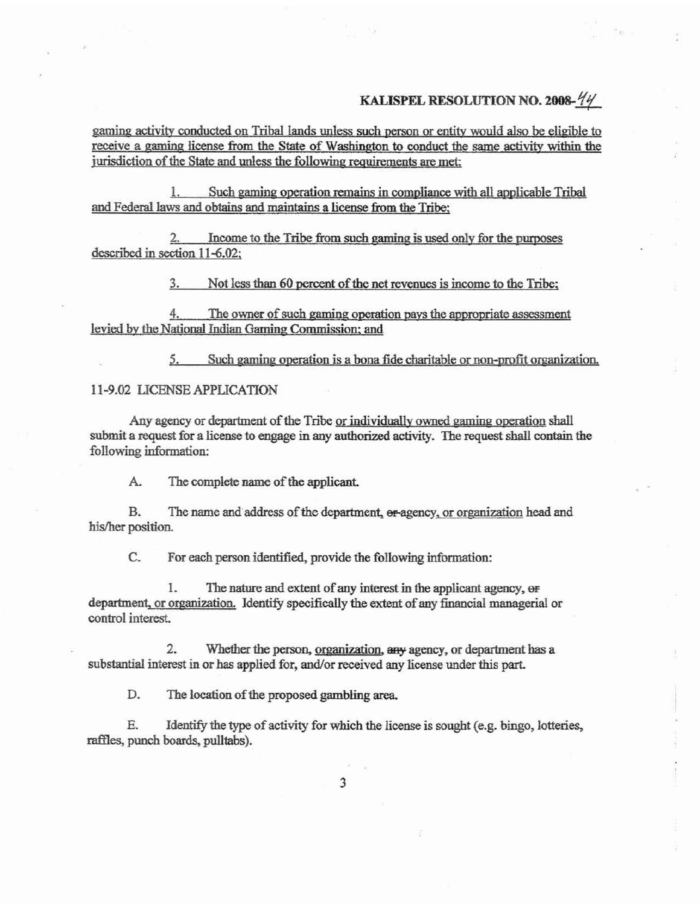gaming activity conducted on Tribal lands unless such person or entity would also be eligible to receive a gaming license from the State of Washington to conduct the same activity within the jurisdiction of the State and unless the following requirements are met:

Such gaming operation remains in compliance with all applicable Tribal 1 and Federal laws and obtains and maintains a license from the Tribe:

Income to the Tribe from such gaming is used only for the purposes described in section 11-6.02:

> 3. Not less than 60 percent of the net revenues is income to the Tribe;

4. The owner of such gaming operation pays the appropriate assessment levied by the National Indian Gaming Commission; and

> Such gaming operation is a bona fide charitable or non-profit organization. 5.

## 11-9.02 LICENSE APPLICATION

Any agency or department of the Tribe or individually owned gaming operation shall submit a request for a license to engage in any authorized activity. The request shall contain the following information:

 $A$ . The complete name of the applicant.

B. The name and address of the department, or agency, or organization head and his/her position.

C. For each person identified, provide the following information:

1. The nature and extent of any interest in the applicant agency, or department, or organization. Identify specifically the extent of any financial managerial or control interest.

 $2.$ Whether the person, organization, any agency, or department has a substantial interest in or has applied for, and/or received any license under this part.

D. The location of the proposed gambling area.

E. Identify the type of activity for which the license is sought (e.g. bingo, lotteries, raffles, punch boards, pulltabs).

3